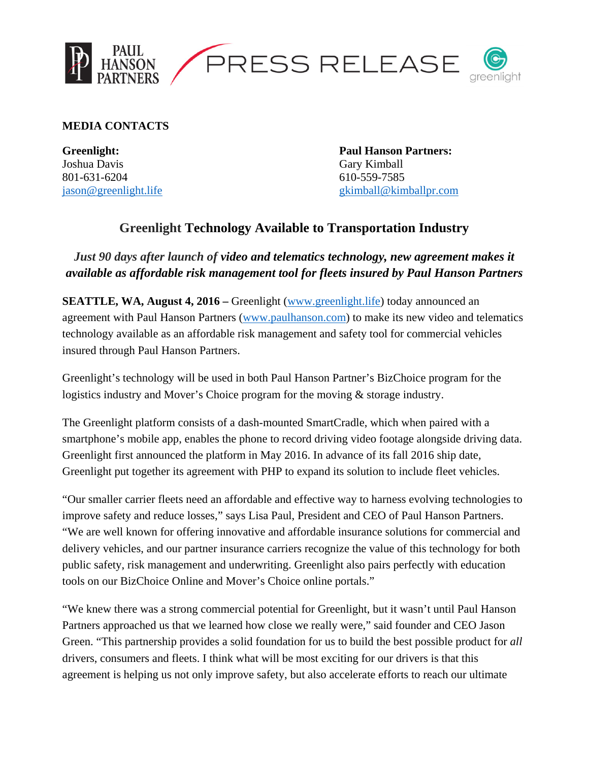

**MEDIA CONTACTS** 

Joshua Davis Gary Kimball 801-631-6204 610-559-7585

**Greenlight: Paul Hanson Partners:**  jason@greenlight.life gkimball@kimballpr.com

## **Greenlight Technology Available to Transportation Industry**

*Just 90 days after launch of video and telematics technology, new agreement makes it available as affordable risk management tool for fleets insured by Paul Hanson Partners* 

**SEATTLE, WA, August 4, 2016 –** Greenlight (www.greenlight.life) today announced an agreement with Paul Hanson Partners (www.paulhanson.com) to make its new video and telematics technology available as an affordable risk management and safety tool for commercial vehicles insured through Paul Hanson Partners.

Greenlight's technology will be used in both Paul Hanson Partner's BizChoice program for the logistics industry and Mover's Choice program for the moving & storage industry.

The Greenlight platform consists of a dash-mounted SmartCradle, which when paired with a smartphone's mobile app, enables the phone to record driving video footage alongside driving data. Greenlight first announced the platform in May 2016. In advance of its fall 2016 ship date, Greenlight put together its agreement with PHP to expand its solution to include fleet vehicles.

"Our smaller carrier fleets need an affordable and effective way to harness evolving technologies to improve safety and reduce losses," says Lisa Paul, President and CEO of Paul Hanson Partners. "We are well known for offering innovative and affordable insurance solutions for commercial and delivery vehicles, and our partner insurance carriers recognize the value of this technology for both public safety, risk management and underwriting. Greenlight also pairs perfectly with education tools on our BizChoice Online and Mover's Choice online portals."

"We knew there was a strong commercial potential for Greenlight, but it wasn't until Paul Hanson Partners approached us that we learned how close we really were," said founder and CEO Jason Green. "This partnership provides a solid foundation for us to build the best possible product for *all* drivers, consumers and fleets. I think what will be most exciting for our drivers is that this agreement is helping us not only improve safety, but also accelerate efforts to reach our ultimate